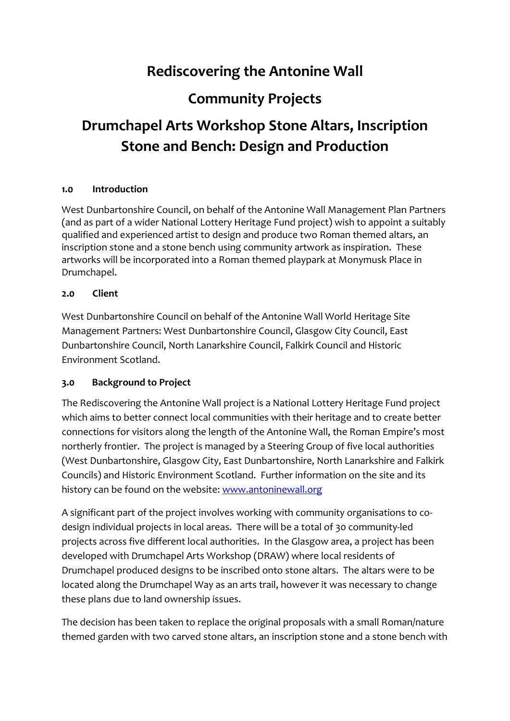# **Rediscovering the Antonine Wall**

# **Community Projects**

# **Drumchapel Arts Workshop Stone Altars, Inscription Stone and Bench: Design and Production**

## **1.0 Introduction**

West Dunbartonshire Council, on behalf of the Antonine Wall Management Plan Partners (and as part of a wider National Lottery Heritage Fund project) wish to appoint a suitably qualified and experienced artist to design and produce two Roman themed altars, an inscription stone and a stone bench using community artwork as inspiration. These artworks will be incorporated into a Roman themed playpark at Monymusk Place in Drumchapel.

### **2.0 Client**

West Dunbartonshire Council on behalf of the Antonine Wall World Heritage Site Management Partners: West Dunbartonshire Council, Glasgow City Council, East Dunbartonshire Council, North Lanarkshire Council, Falkirk Council and Historic Environment Scotland.

## **3.0 Background to Project**

The Rediscovering the Antonine Wall project is a National Lottery Heritage Fund project which aims to better connect local communities with their heritage and to create better connections for visitors along the length of the Antonine Wall, the Roman Empire's most northerly frontier. The project is managed by a Steering Group of five local authorities (West Dunbartonshire, Glasgow City, East Dunbartonshire, North Lanarkshire and Falkirk Councils) and Historic Environment Scotland. Further information on the site and its history can be found on the website: [www.antoninewall.org](http://www.antoninewall.org/)

A significant part of the project involves working with community organisations to codesign individual projects in local areas. There will be a total of 30 community-led projects across five different local authorities. In the Glasgow area, a project has been developed with Drumchapel Arts Workshop (DRAW) where local residents of Drumchapel produced designs to be inscribed onto stone altars. The altars were to be located along the Drumchapel Way as an arts trail, however it was necessary to change these plans due to land ownership issues.

The decision has been taken to replace the original proposals with a small Roman/nature themed garden with two carved stone altars, an inscription stone and a stone bench with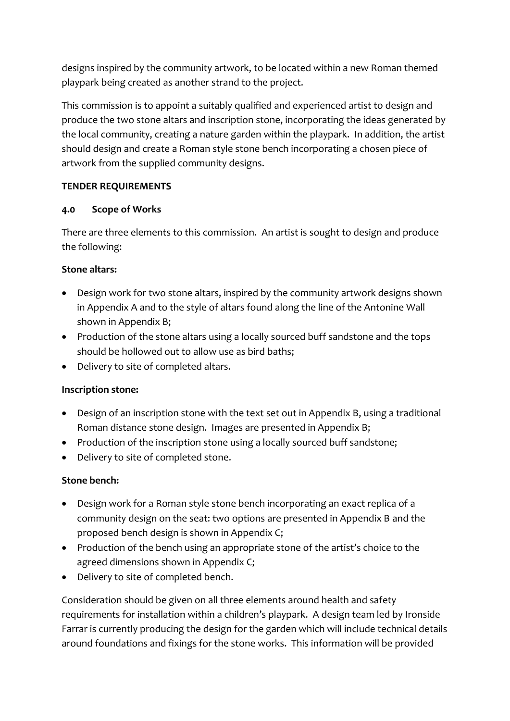designs inspired by the community artwork, to be located within a new Roman themed playpark being created as another strand to the project.

This commission is to appoint a suitably qualified and experienced artist to design and produce the two stone altars and inscription stone, incorporating the ideas generated by the local community, creating a nature garden within the playpark. In addition, the artist should design and create a Roman style stone bench incorporating a chosen piece of artwork from the supplied community designs.

## **TENDER REQUIREMENTS**

## **4.0 Scope of Works**

There are three elements to this commission. An artist is sought to design and produce the following:

# **Stone altars:**

- Design work for two stone altars, inspired by the community artwork designs shown in Appendix A and to the style of altars found along the line of the Antonine Wall shown in Appendix B;
- Production of the stone altars using a locally sourced buff sandstone and the tops should be hollowed out to allow use as bird baths;
- Delivery to site of completed altars.

# **Inscription stone:**

- Design of an inscription stone with the text set out in Appendix B, using a traditional Roman distance stone design. Images are presented in Appendix B;
- Production of the inscription stone using a locally sourced buff sandstone;
- Delivery to site of completed stone.

# **Stone bench:**

- Design work for a Roman style stone bench incorporating an exact replica of a community design on the seat: two options are presented in Appendix B and the proposed bench design is shown in Appendix C;
- Production of the bench using an appropriate stone of the artist's choice to the agreed dimensions shown in Appendix C;
- Delivery to site of completed bench.

Consideration should be given on all three elements around health and safety requirements for installation within a children's playpark. A design team led by Ironside Farrar is currently producing the design for the garden which will include technical details around foundations and fixings for the stone works. This information will be provided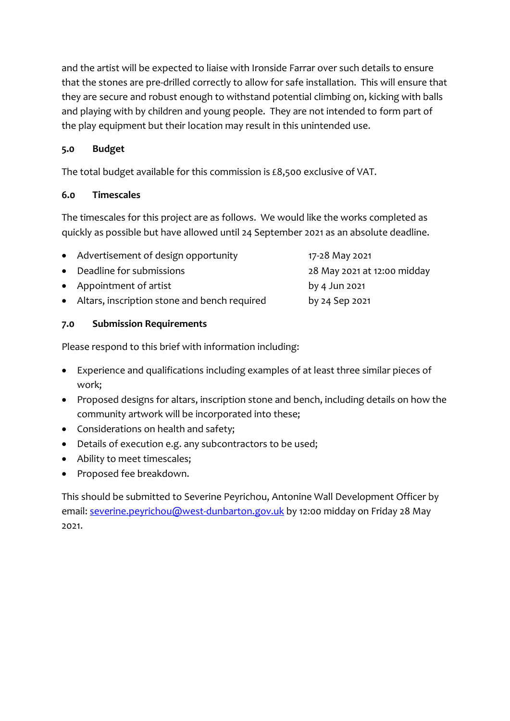and the artist will be expected to liaise with Ironside Farrar over such details to ensure that the stones are pre-drilled correctly to allow for safe installation. This will ensure that they are secure and robust enough to withstand potential climbing on, kicking with balls and playing with by children and young people. They are not intended to form part of the play equipment but their location may result in this unintended use.

## **5.0 Budget**

The total budget available for this commission is £8,500 exclusive of VAT.

### **6.0 Timescales**

The timescales for this project are as follows. We would like the works completed as quickly as possible but have allowed until 24 September 2021 as an absolute deadline.

| • Advertisement of design opportunity          | 17-28 May 2021              |
|------------------------------------------------|-----------------------------|
| • Deadline for submissions                     | 28 May 2021 at 12:00 midday |
| • Appointment of artist                        | by 4 Jun 2021               |
| • Altars, inscription stone and bench required | by 24 Sep 2021              |
|                                                |                             |

## **7.0 Submission Requirements**

Please respond to this brief with information including:

- Experience and qualifications including examples of at least three similar pieces of work;
- Proposed designs for altars, inscription stone and bench, including details on how the community artwork will be incorporated into these;
- Considerations on health and safety;
- Details of execution e.g. any subcontractors to be used;
- Ability to meet timescales;
- Proposed fee breakdown.

This should be submitted to Severine Peyrichou, Antonine Wall Development Officer by email: [severine.peyrichou@west-dunbarton.gov.uk](mailto:severine.peyrichou@west-dunbarton.gov.uk) by 12:00 midday on Friday 28 May 2021.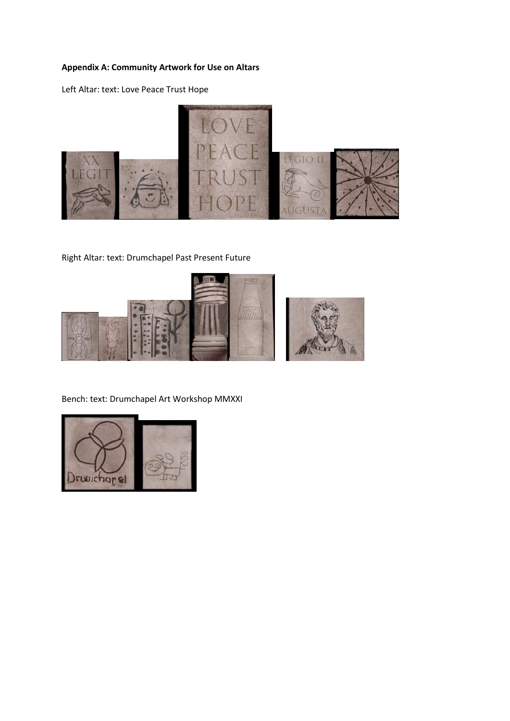### **Appendix A: Community Artwork for Use on Altars**

Left Altar: text: Love Peace Trust Hope



Right Altar: text: Drumchapel Past Present Future



Bench: text: Drumchapel Art Workshop MMXXI

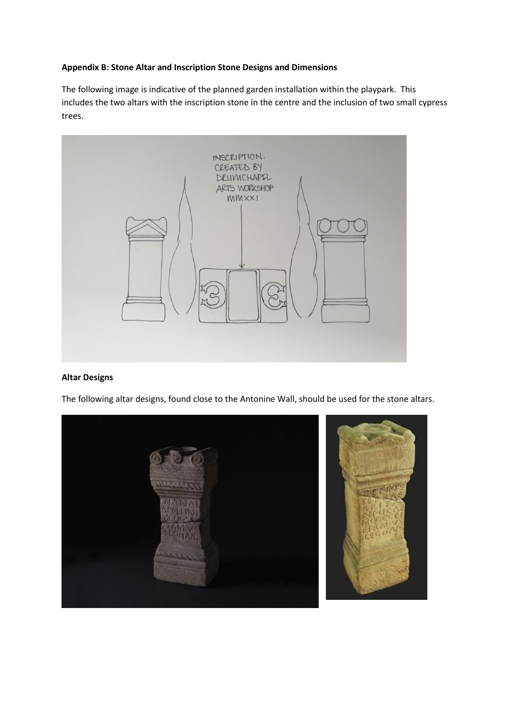#### **Appendix B: Stone Altar and Inscription Stone Designs and Dimensions**

The following image is indicative of the planned garden installation within the playpark. This includes the two altars with the inscription stone in the centre and the inclusion of two small cypress trees.



#### **Altar Designs**

The following altar designs, found close to the Antonine Wall, should be used for the stone altars.

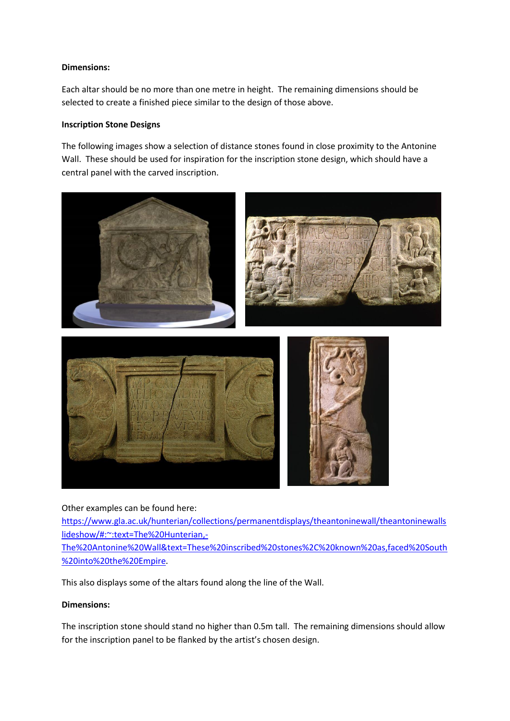#### **Dimensions:**

Each altar should be no more than one metre in height. The remaining dimensions should be selected to create a finished piece similar to the design of those above.

#### **Inscription Stone Designs**

The following images show a selection of distance stones found in close proximity to the Antonine Wall. These should be used for inspiration for the inscription stone design, which should have a central panel with the carved inscription.



Other examples can be found here:

[https://www.gla.ac.uk/hunterian/collections/permanentdisplays/theantoninewall/theantoninewalls](https://www.gla.ac.uk/hunterian/collections/permanentdisplays/theantoninewall/theantoninewallslideshow/#:~:text=The%20Hunterian,-The%20Antonine%20Wall&text=These%20inscribed%20stones%2C%20known%20as,faced%20South%20into%20the%20Empire) [lideshow/#:~:text=The%20Hunterian,-](https://www.gla.ac.uk/hunterian/collections/permanentdisplays/theantoninewall/theantoninewallslideshow/#:~:text=The%20Hunterian,-The%20Antonine%20Wall&text=These%20inscribed%20stones%2C%20known%20as,faced%20South%20into%20the%20Empire)

[The%20Antonine%20Wall&text=These%20inscribed%20stones%2C%20known%20as,faced%20South](https://www.gla.ac.uk/hunterian/collections/permanentdisplays/theantoninewall/theantoninewallslideshow/#:~:text=The%20Hunterian,-The%20Antonine%20Wall&text=These%20inscribed%20stones%2C%20known%20as,faced%20South%20into%20the%20Empire) [%20into%20the%20Empire.](https://www.gla.ac.uk/hunterian/collections/permanentdisplays/theantoninewall/theantoninewallslideshow/#:~:text=The%20Hunterian,-The%20Antonine%20Wall&text=These%20inscribed%20stones%2C%20known%20as,faced%20South%20into%20the%20Empire)

This also displays some of the altars found along the line of the Wall.

#### **Dimensions:**

The inscription stone should stand no higher than 0.5m tall. The remaining dimensions should allow for the inscription panel to be flanked by the artist's chosen design.